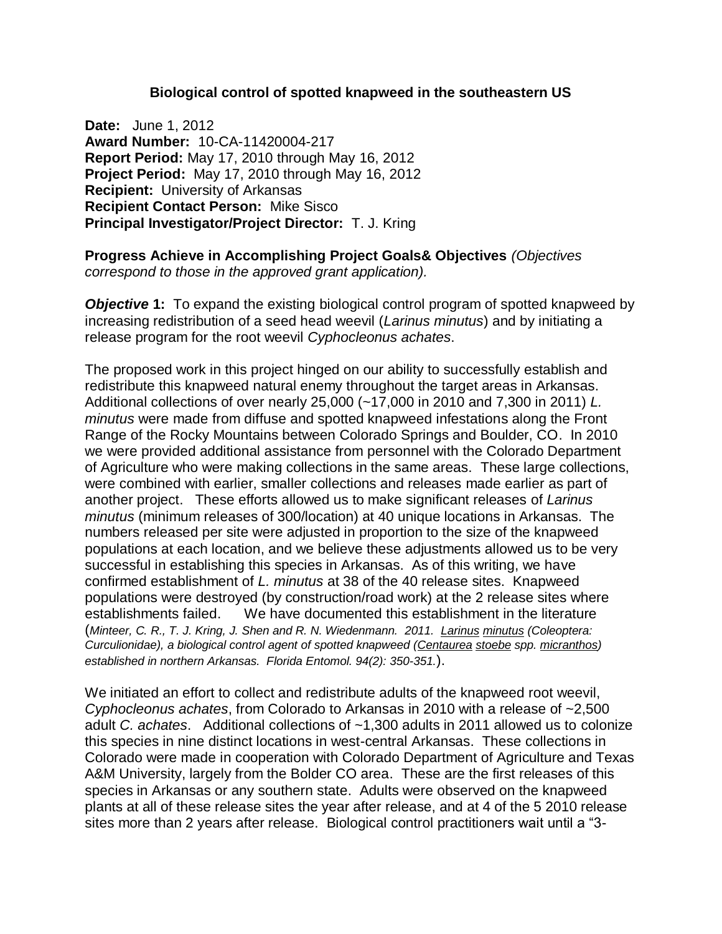# **Biological control of spotted knapweed in the southeastern US**

**Date:** June 1, 2012 **Award Number:** 10-CA-11420004-217 **Report Period:** May 17, 2010 through May 16, 2012 **Project Period:** May 17, 2010 through May 16, 2012 **Recipient:** University of Arkansas **Recipient Contact Person:** Mike Sisco **Principal Investigator/Project Director:** T. J. Kring

**Progress Achieve in Accomplishing Project Goals& Objectives** *(Objectives correspond to those in the approved grant application).*

*Objective* **1:** To expand the existing biological control program of spotted knapweed by increasing redistribution of a seed head weevil (*Larinus minutus*) and by initiating a release program for the root weevil *Cyphocleonus achates*.

The proposed work in this project hinged on our ability to successfully establish and redistribute this knapweed natural enemy throughout the target areas in Arkansas. Additional collections of over nearly 25,000 (~17,000 in 2010 and 7,300 in 2011) *L. minutus* were made from diffuse and spotted knapweed infestations along the Front Range of the Rocky Mountains between Colorado Springs and Boulder, CO. In 2010 we were provided additional assistance from personnel with the Colorado Department of Agriculture who were making collections in the same areas. These large collections, were combined with earlier, smaller collections and releases made earlier as part of another project. These efforts allowed us to make significant releases of *Larinus minutus* (minimum releases of 300/location) at 40 unique locations in Arkansas. The numbers released per site were adjusted in proportion to the size of the knapweed populations at each location, and we believe these adjustments allowed us to be very successful in establishing this species in Arkansas. As of this writing, we have confirmed establishment of *L. minutus* at 38 of the 40 release sites. Knapweed populations were destroyed (by construction/road work) at the 2 release sites where establishments failed. We have documented this establishment in the literature (*Minteer, C. R., T. J. Kring, J. Shen and R. N. Wiedenmann. 2011. Larinus minutus (Coleoptera: Curculionidae), a biological control agent of spotted knapweed (Centaurea stoebe spp. micranthos) established in northern Arkansas. Florida Entomol. 94(2): 350-351.*).

We initiated an effort to collect and redistribute adults of the knapweed root weevil, *Cyphocleonus achates*, from Colorado to Arkansas in 2010 with a release of ~2,500 adult *C. achates*. Additional collections of ~1,300 adults in 2011 allowed us to colonize this species in nine distinct locations in west-central Arkansas. These collections in Colorado were made in cooperation with Colorado Department of Agriculture and Texas A&M University, largely from the Bolder CO area. These are the first releases of this species in Arkansas or any southern state. Adults were observed on the knapweed plants at all of these release sites the year after release, and at 4 of the 5 2010 release sites more than 2 years after release. Biological control practitioners wait until a "3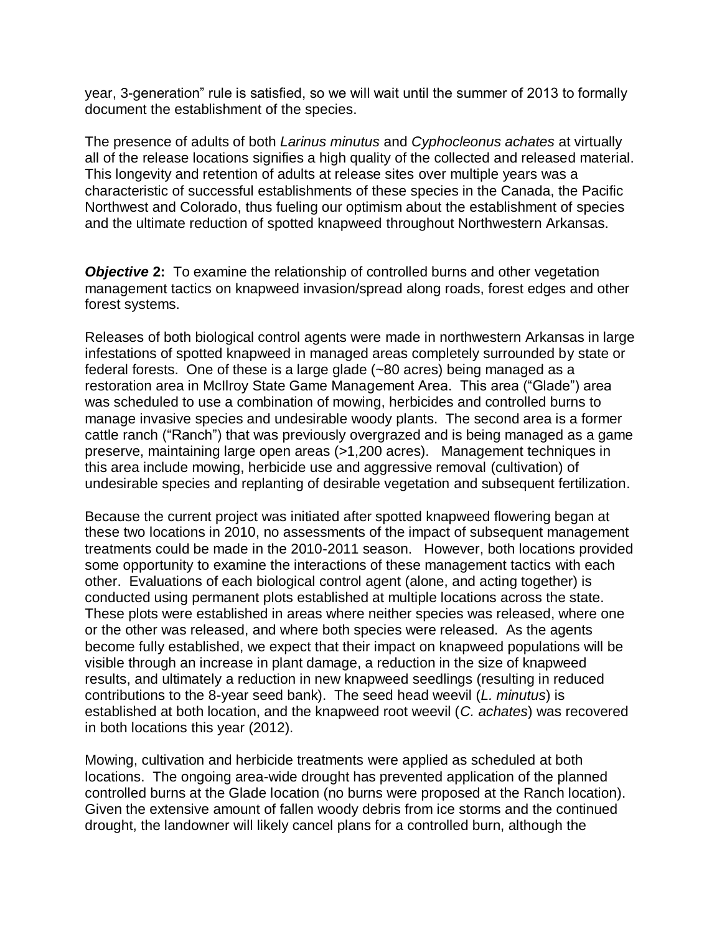year, 3-generation" rule is satisfied, so we will wait until the summer of 2013 to formally document the establishment of the species.

The presence of adults of both *Larinus minutus* and *Cyphocleonus achates* at virtually all of the release locations signifies a high quality of the collected and released material. This longevity and retention of adults at release sites over multiple years was a characteristic of successful establishments of these species in the Canada, the Pacific Northwest and Colorado, thus fueling our optimism about the establishment of species and the ultimate reduction of spotted knapweed throughout Northwestern Arkansas.

*Objective* **2:** To examine the relationship of controlled burns and other vegetation management tactics on knapweed invasion/spread along roads, forest edges and other forest systems.

Releases of both biological control agents were made in northwestern Arkansas in large infestations of spotted knapweed in managed areas completely surrounded by state or federal forests. One of these is a large glade (~80 acres) being managed as a restoration area in McIlroy State Game Management Area. This area ("Glade") area was scheduled to use a combination of mowing, herbicides and controlled burns to manage invasive species and undesirable woody plants. The second area is a former cattle ranch ("Ranch") that was previously overgrazed and is being managed as a game preserve, maintaining large open areas (>1,200 acres). Management techniques in this area include mowing, herbicide use and aggressive removal (cultivation) of undesirable species and replanting of desirable vegetation and subsequent fertilization.

Because the current project was initiated after spotted knapweed flowering began at these two locations in 2010, no assessments of the impact of subsequent management treatments could be made in the 2010-2011 season. However, both locations provided some opportunity to examine the interactions of these management tactics with each other. Evaluations of each biological control agent (alone, and acting together) is conducted using permanent plots established at multiple locations across the state. These plots were established in areas where neither species was released, where one or the other was released, and where both species were released. As the agents become fully established, we expect that their impact on knapweed populations will be visible through an increase in plant damage, a reduction in the size of knapweed results, and ultimately a reduction in new knapweed seedlings (resulting in reduced contributions to the 8-year seed bank). The seed head weevil (*L. minutus*) is established at both location, and the knapweed root weevil (*C. achates*) was recovered in both locations this year (2012).

Mowing, cultivation and herbicide treatments were applied as scheduled at both locations. The ongoing area-wide drought has prevented application of the planned controlled burns at the Glade location (no burns were proposed at the Ranch location). Given the extensive amount of fallen woody debris from ice storms and the continued drought, the landowner will likely cancel plans for a controlled burn, although the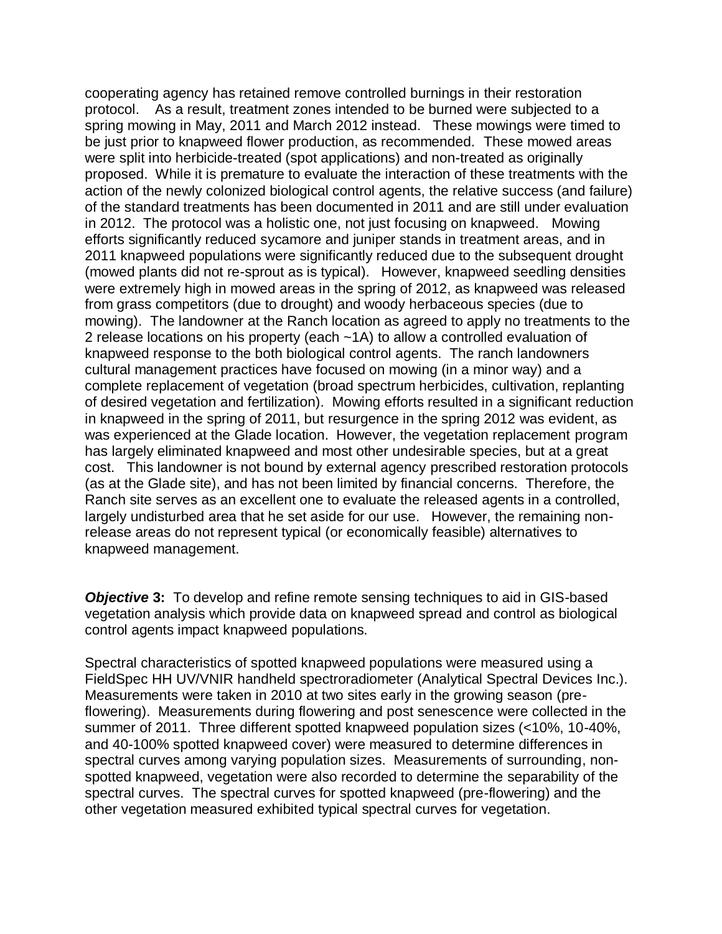cooperating agency has retained remove controlled burnings in their restoration protocol. As a result, treatment zones intended to be burned were subjected to a spring mowing in May, 2011 and March 2012 instead. These mowings were timed to be just prior to knapweed flower production, as recommended. These mowed areas were split into herbicide-treated (spot applications) and non-treated as originally proposed. While it is premature to evaluate the interaction of these treatments with the action of the newly colonized biological control agents, the relative success (and failure) of the standard treatments has been documented in 2011 and are still under evaluation in 2012. The protocol was a holistic one, not just focusing on knapweed. Mowing efforts significantly reduced sycamore and juniper stands in treatment areas, and in 2011 knapweed populations were significantly reduced due to the subsequent drought (mowed plants did not re-sprout as is typical). However, knapweed seedling densities were extremely high in mowed areas in the spring of 2012, as knapweed was released from grass competitors (due to drought) and woody herbaceous species (due to mowing). The landowner at the Ranch location as agreed to apply no treatments to the 2 release locations on his property (each ~1A) to allow a controlled evaluation of knapweed response to the both biological control agents. The ranch landowners cultural management practices have focused on mowing (in a minor way) and a complete replacement of vegetation (broad spectrum herbicides, cultivation, replanting of desired vegetation and fertilization). Mowing efforts resulted in a significant reduction in knapweed in the spring of 2011, but resurgence in the spring 2012 was evident, as was experienced at the Glade location. However, the vegetation replacement program has largely eliminated knapweed and most other undesirable species, but at a great cost. This landowner is not bound by external agency prescribed restoration protocols (as at the Glade site), and has not been limited by financial concerns. Therefore, the Ranch site serves as an excellent one to evaluate the released agents in a controlled, largely undisturbed area that he set aside for our use. However, the remaining nonrelease areas do not represent typical (or economically feasible) alternatives to knapweed management.

**Objective 3:** To develop and refine remote sensing techniques to aid in GIS-based vegetation analysis which provide data on knapweed spread and control as biological control agents impact knapweed populations.

Spectral characteristics of spotted knapweed populations were measured using a FieldSpec HH UV/VNIR handheld spectroradiometer (Analytical Spectral Devices Inc.). Measurements were taken in 2010 at two sites early in the growing season (preflowering). Measurements during flowering and post senescence were collected in the summer of 2011. Three different spotted knapweed population sizes (<10%, 10-40%, and 40-100% spotted knapweed cover) were measured to determine differences in spectral curves among varying population sizes. Measurements of surrounding, nonspotted knapweed, vegetation were also recorded to determine the separability of the spectral curves. The spectral curves for spotted knapweed (pre-flowering) and the other vegetation measured exhibited typical spectral curves for vegetation.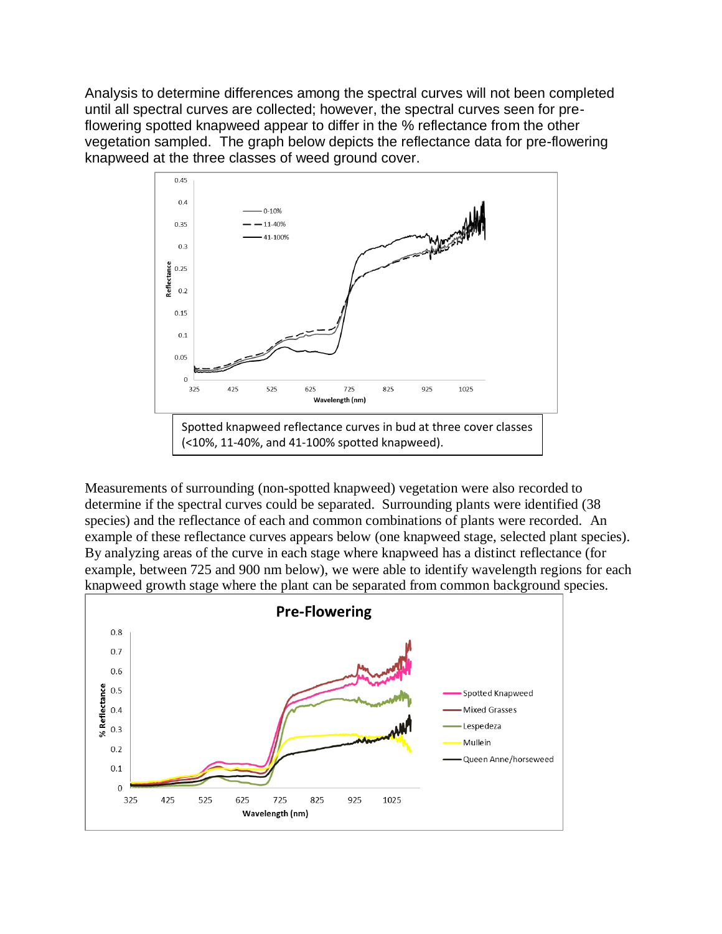Analysis to determine differences among the spectral curves will not been completed until all spectral curves are collected; however, the spectral curves seen for preflowering spotted knapweed appear to differ in the % reflectance from the other vegetation sampled. The graph below depicts the reflectance data for pre-flowering knapweed at the three classes of weed ground cover.



Measurements of surrounding (non-spotted knapweed) vegetation were also recorded to determine if the spectral curves could be separated. Surrounding plants were identified (38 species) and the reflectance of each and common combinations of plants were recorded. An example of these reflectance curves appears below (one knapweed stage, selected plant species). By analyzing areas of the curve in each stage where knapweed has a distinct reflectance (for example, between 725 and 900 nm below), we were able to identify wavelength regions for each knapweed growth stage where the plant can be separated from common background species.

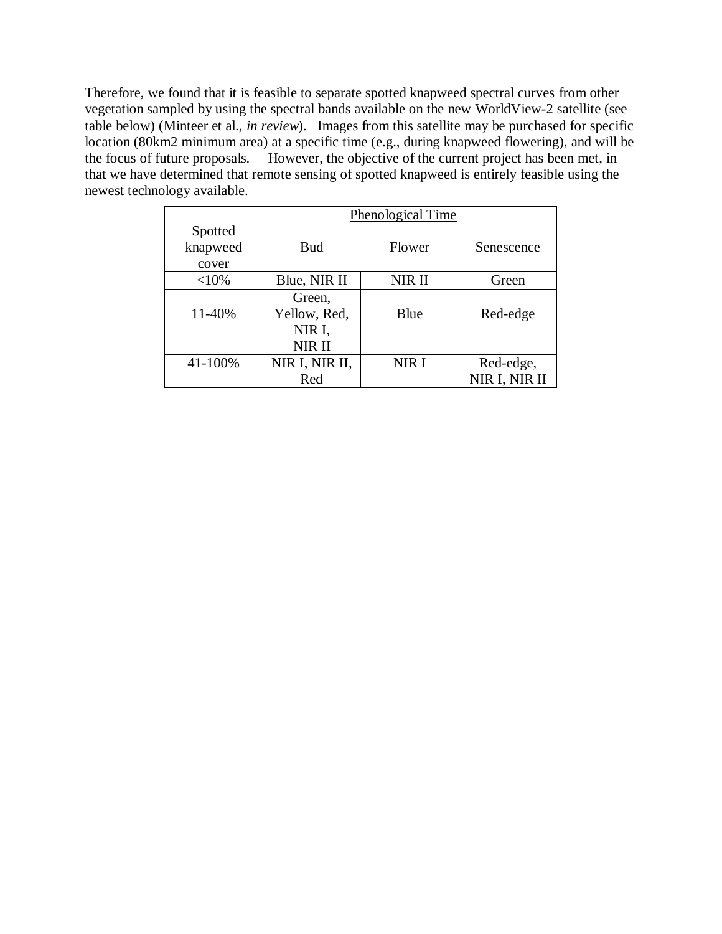Therefore, we found that it is feasible to separate spotted knapweed spectral curves from other vegetation sampled by using the spectral bands available on the new WorldView-2 satellite (see table below) (Minteer et al., *in review*). Images from this satellite may be purchased for specific location (80km2 minimum area) at a specific time (e.g., during knapweed flowering), and will be the focus of future proposals. However, the objective of the current project has been met, in However, the objective of the current project has been met, in that we have determined that remote sensing of spotted knapweed is entirely feasible using the newest technology available.

|           | Phenological Time |             |               |
|-----------|-------------------|-------------|---------------|
| Spotted   |                   |             |               |
| knapweed  | <b>Bud</b>        | Flower      | Senescence    |
| cover     |                   |             |               |
| ${<}10\%$ | Blue, NIR II      | NIR II      | Green         |
|           | Green,            |             |               |
| 11-40%    | Yellow, Red,      | Blue        | Red-edge      |
|           | NIR I,            |             |               |
|           | NIR II            |             |               |
| 41-100%   | NIR I, NIR II,    | <b>NIRI</b> | Red-edge,     |
|           | Red               |             | NIR I, NIR II |